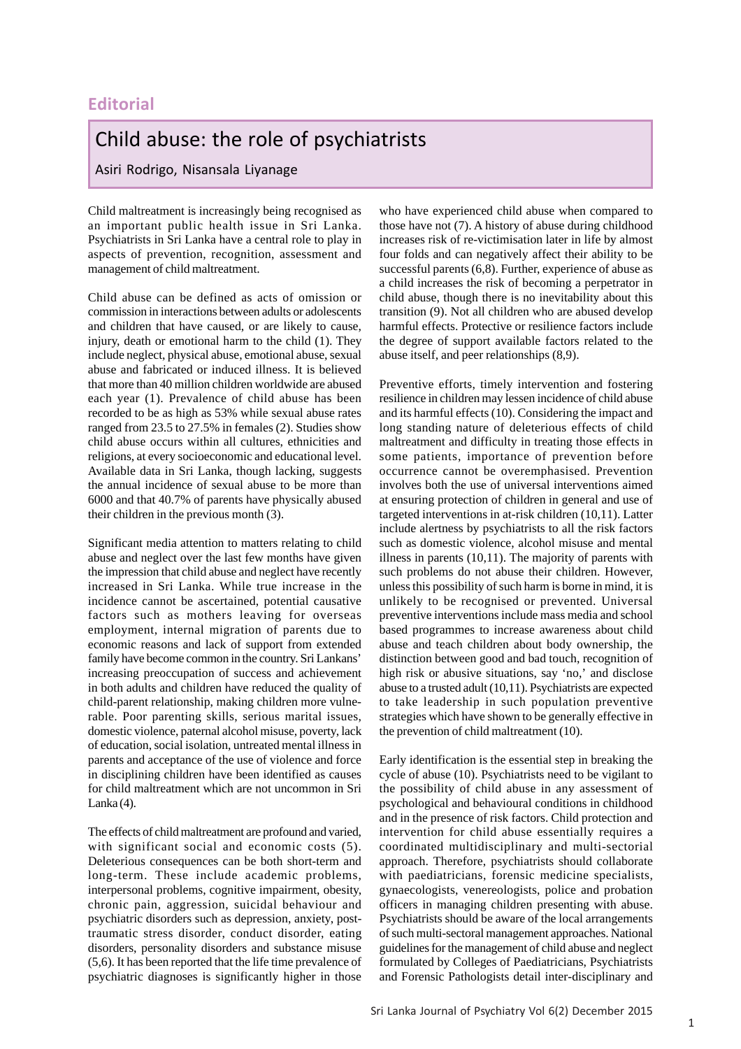## **Editorial**

## Child abuse: the role of psychiatrists

Asiri Rodrigo, Nisansala Liyanage

Child maltreatment is increasingly being recognised as an important public health issue in Sri Lanka. Psychiatrists in Sri Lanka have a central role to play in aspects of prevention, recognition, assessment and management of child maltreatment.

Child abuse can be defined as acts of omission or commission in interactions between adults or adolescents and children that have caused, or are likely to cause, injury, death or emotional harm to the child (1). They include neglect, physical abuse, emotional abuse, sexual abuse and fabricated or induced illness. It is believed that more than 40 million children worldwide are abused each year (1). Prevalence of child abuse has been recorded to be as high as 53% while sexual abuse rates ranged from 23.5 to 27.5% in females (2). Studies show child abuse occurs within all cultures, ethnicities and religions, at every socioeconomic and educational level. Available data in Sri Lanka, though lacking, suggests the annual incidence of sexual abuse to be more than 6000 and that 40.7% of parents have physically abused their children in the previous month (3).

Significant media attention to matters relating to child abuse and neglect over the last few months have given the impression that child abuse and neglect have recently increased in Sri Lanka. While true increase in the incidence cannot be ascertained, potential causative factors such as mothers leaving for overseas employment, internal migration of parents due to economic reasons and lack of support from extended family have become common in the country. Sri Lankans' increasing preoccupation of success and achievement in both adults and children have reduced the quality of child-parent relationship, making children more vulnerable. Poor parenting skills, serious marital issues, domestic violence, paternal alcohol misuse, poverty, lack of education, social isolation, untreated mental illness in parents and acceptance of the use of violence and force in disciplining children have been identified as causes for child maltreatment which are not uncommon in Sri  $Lanka(4)$ .

The effects of child maltreatment are profound and varied, with significant social and economic costs  $(5)$ . Deleterious consequences can be both short-term and long-term. These include academic problems, interpersonal problems, cognitive impairment, obesity, chronic pain, aggression, suicidal behaviour and psychiatric disorders such as depression, anxiety, posttraumatic stress disorder, conduct disorder, eating disorders, personality disorders and substance misuse (5,6). It has been reported that the life time prevalence of psychiatric diagnoses is significantly higher in those

who have experienced child abuse when compared to those have not (7). A history of abuse during childhood increases risk of re-victimisation later in life by almost four folds and can negatively affect their ability to be successful parents (6,8). Further, experience of abuse as a child increases the risk of becoming a perpetrator in child abuse, though there is no inevitability about this transition (9). Not all children who are abused develop harmful effects. Protective or resilience factors include the degree of support available factors related to the abuse itself, and peer relationships (8,9).

Preventive efforts, timely intervention and fostering resilience in children may lessen incidence of child abuse and its harmful effects (10). Considering the impact and long standing nature of deleterious effects of child maltreatment and difficulty in treating those effects in some patients, importance of prevention before occurrence cannot be overemphasised. Prevention involves both the use of universal interventions aimed at ensuring protection of children in general and use of targeted interventions in at-risk children (10,11). Latter include alertness by psychiatrists to all the risk factors such as domestic violence, alcohol misuse and mental illness in parents (10,11). The majority of parents with such problems do not abuse their children. However, unless this possibility of such harm is borne in mind, it is unlikely to be recognised or prevented. Universal preventive interventions include mass media and school based programmes to increase awareness about child abuse and teach children about body ownership, the distinction between good and bad touch, recognition of high risk or abusive situations, say 'no,' and disclose abuse to a trusted adult (10,11). Psychiatrists are expected to take leadership in such population preventive strategies which have shown to be generally effective in the prevention of child maltreatment (10).

Early identification is the essential step in breaking the cycle of abuse (10). Psychiatrists need to be vigilant to the possibility of child abuse in any assessment of psychological and behavioural conditions in childhood and in the presence of risk factors. Child protection and intervention for child abuse essentially requires a coordinated multidisciplinary and multi-sectorial approach. Therefore, psychiatrists should collaborate with paediatricians, forensic medicine specialists, gynaecologists, venereologists, police and probation officers in managing children presenting with abuse. Psychiatrists should be aware of the local arrangements of such multi-sectoral management approaches. National guidelines for the management of child abuse and neglect formulated by Colleges of Paediatricians, Psychiatrists and Forensic Pathologists detail inter-disciplinary and